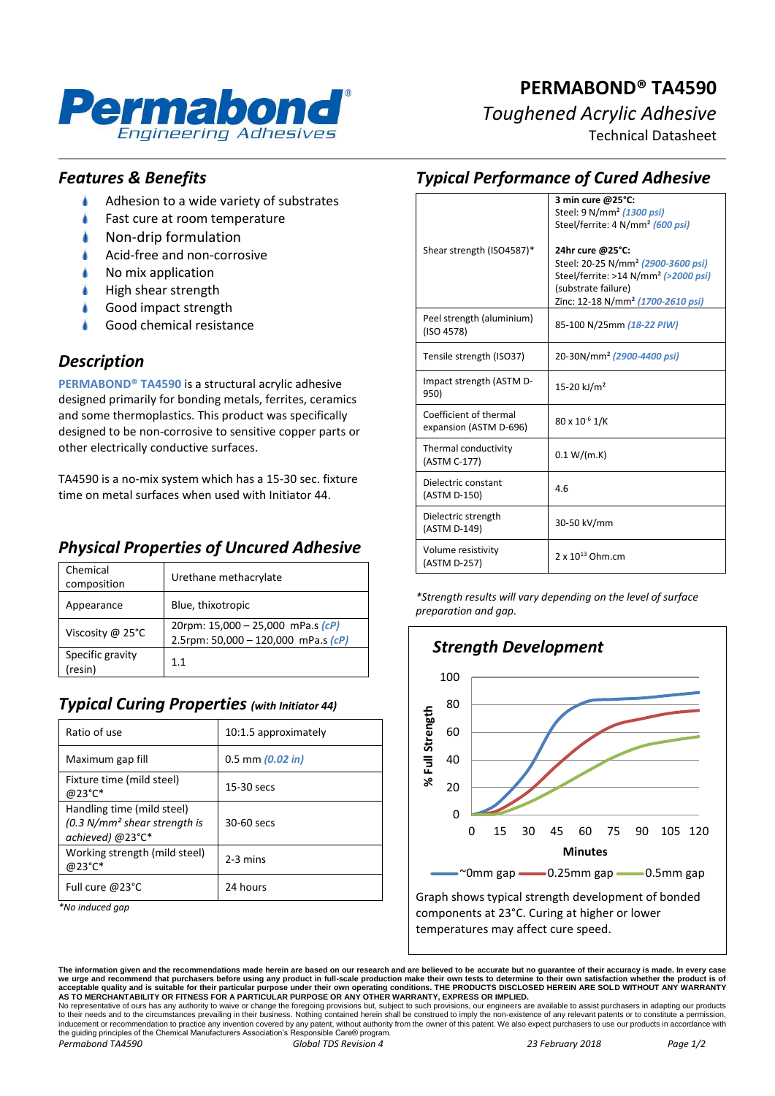

# **PERMABOND® TA4590** *Toughened Acrylic Adhesive*

Technical Datasheet

#### *Features & Benefits*

- ۸ Adhesion to a wide variety of substrates
- Fast cure at room temperature
- Non-drip formulation
- Acid-free and non-corrosive
- No mix application
- High shear strength
- Good impact strength
- Good chemical resistance

#### *Description*

**PERMABOND® TA4590** is a structural acrylic adhesive designed primarily for bonding metals, ferrites, ceramics and some thermoplastics. This product was specifically designed to be non-corrosive to sensitive copper parts or other electrically conductive surfaces.

TA4590 is a no-mix system which has a 15-30 sec. fixture time on metal surfaces when used with Initiator 44.

# *Physical Properties of Uncured Adhesive*

| Chemical<br>composition    | Urethane methacrylate                                                          |
|----------------------------|--------------------------------------------------------------------------------|
| Appearance                 | Blue, thixotropic                                                              |
| Viscosity @ $25^{\circ}$ C | 20rpm: $15,000 - 25,000$ mPa.s $(cP)$<br>2.5rpm: $50,000 - 120,000$ mPa.s (cP) |
| Specific gravity<br>resin) | 11                                                                             |

#### *Typical Curing Properties (with Initiator 44)*

| Ratio of use                                                                     | 10:1.5 approximately |
|----------------------------------------------------------------------------------|----------------------|
| Maximum gap fill                                                                 | $0.5$ mm $(0.02$ in) |
| Fixture time (mild steel)<br>@23°C*                                              | 15-30 secs           |
| Handling time (mild steel)<br>$(0.3 N/mm2 shear strength is$<br>achieved) @23°C* | 30-60 secs           |
| Working strength (mild steel)<br>@23°C*                                          | $2-3$ mins           |
| Full cure @23°C                                                                  | 24 hours             |

*\*No induced gap*

#### *Typical Performance of Cured Adhesive*

|                                                  | 3 min cure @25°C:<br>Steel: 9 N/mm <sup>2</sup> (1300 psi)<br>Steel/ferrite: 4 N/mm <sup>2</sup> (600 psi)                                                                                     |
|--------------------------------------------------|------------------------------------------------------------------------------------------------------------------------------------------------------------------------------------------------|
| Shear strength (ISO4587)*                        | 24hr cure @25°C:<br>Steel: 20-25 N/mm <sup>2</sup> (2900-3600 psi)<br>Steel/ferrite: >14 N/mm <sup>2</sup> (>2000 psi)<br>(substrate failure)<br>Zinc: 12-18 N/mm <sup>2</sup> (1700-2610 psi) |
| Peel strength (aluminium)<br>(ISO 4578)          | 85-100 N/25mm (18-22 PIW)                                                                                                                                                                      |
| Tensile strength (ISO37)                         | 20-30N/mm <sup>2</sup> (2900-4400 psi)                                                                                                                                                         |
| Impact strength (ASTM D-<br>950)                 | 15-20 kJ/m <sup>2</sup>                                                                                                                                                                        |
| Coefficient of thermal<br>expansion (ASTM D-696) | $80 \times 10^{-6}$ 1/K                                                                                                                                                                        |
| Thermal conductivity<br>(ASTM C-177)             | 0.1 W/(m.K)                                                                                                                                                                                    |
| Dielectric constant<br>(ASTM D-150)              | 4.6                                                                                                                                                                                            |
| Dielectric strength<br>(ASTM D-149)              | 30-50 kV/mm                                                                                                                                                                                    |
| Volume resistivity<br>(ASTM D-257)               | $2 \times 10^{13}$ Ohm.cm                                                                                                                                                                      |

*\*Strength results will vary depending on the level of surface preparation and gap.*



components at 23°C. Curing at higher or lower temperatures may affect cure speed.

**The information given and the recommendations made herein are based on our research and are believed to be accurate but no guarantee of their accuracy is made. In every case**  we urge and recommend that purchasers before using any product in full-scale production make their own tests to determine to their own satisfaction whether the product is of<br>acceptable quality and is suitable for their par

No representative of ours has any authority to waive or change the foregoing provisions but, subject to such provisions, our engineers are available to assist purchasers in adapting our products<br>to their needs and to the c the guiding principles of the Chemical Manufacturers Association's Responsible Care® program. *Permabond TA4590 Global TDS Revision 4 23 February 2018 Page 1/2*